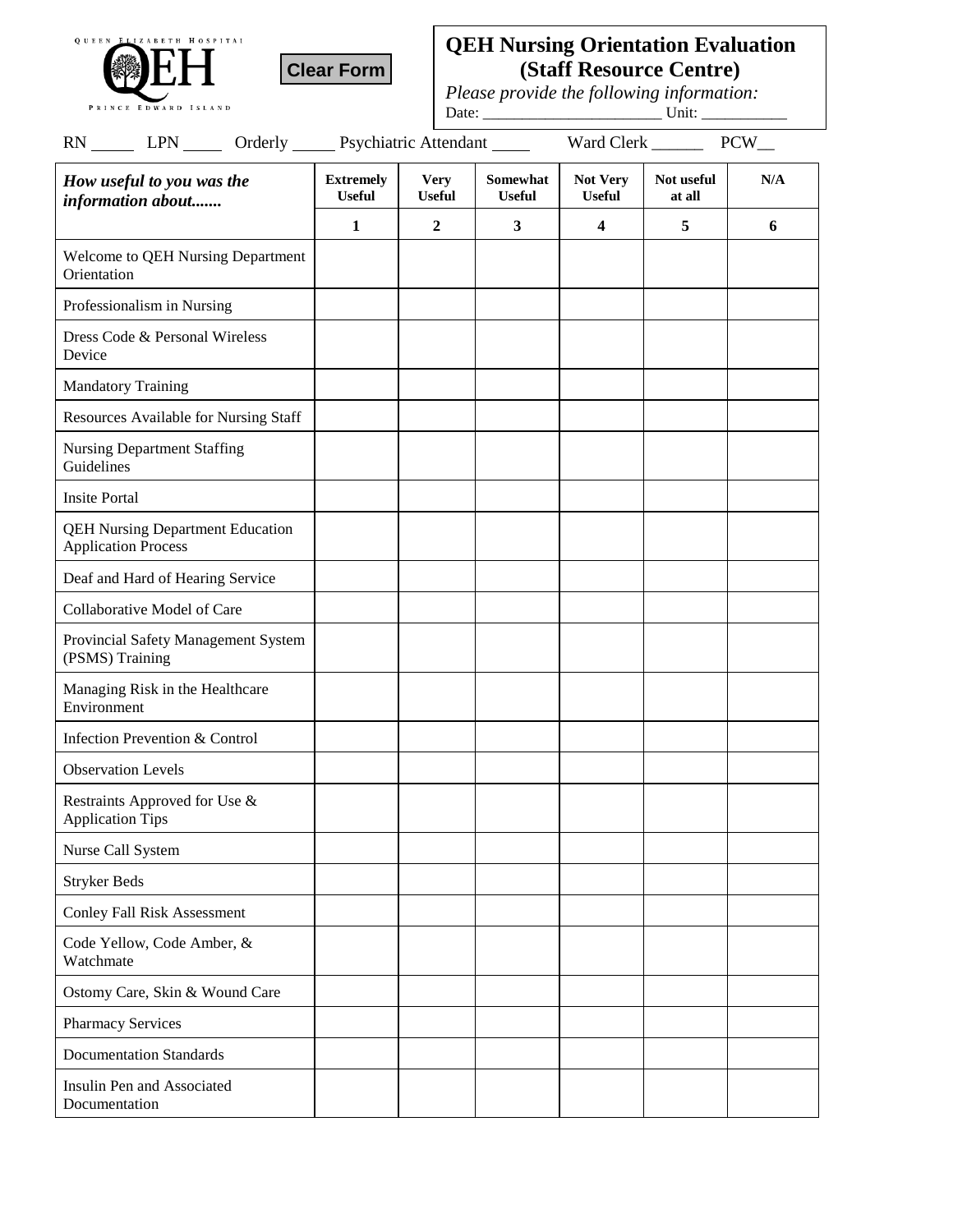



## **QEH Nursing Orientation Evaluation (Staff Resource Centre)**

*Please provide the following information:*

Date: \_\_\_\_\_\_\_\_\_\_\_\_\_\_\_\_\_\_\_\_\_\_\_ Unit: \_\_\_\_\_\_\_\_\_\_\_

| RN _______ LPN _______ Orderly _______ Psychiatric Attendant ______   |                                   |                              |                                  | $PCW_{\_\_}$<br>Ward Clerk ______ |                      |     |
|-----------------------------------------------------------------------|-----------------------------------|------------------------------|----------------------------------|-----------------------------------|----------------------|-----|
| How useful to you was the<br>information about                        | <b>Extremely</b><br><b>Useful</b> | <b>Very</b><br><b>Useful</b> | <b>Somewhat</b><br><b>Useful</b> | Not Very<br><b>Useful</b>         | Not useful<br>at all | N/A |
|                                                                       | $\mathbf{1}$                      | $\boldsymbol{2}$             | 3                                | 4                                 | 5                    | 6   |
| Welcome to QEH Nursing Department<br>Orientation                      |                                   |                              |                                  |                                   |                      |     |
| Professionalism in Nursing                                            |                                   |                              |                                  |                                   |                      |     |
| Dress Code & Personal Wireless<br>Device                              |                                   |                              |                                  |                                   |                      |     |
| <b>Mandatory Training</b>                                             |                                   |                              |                                  |                                   |                      |     |
| Resources Available for Nursing Staff                                 |                                   |                              |                                  |                                   |                      |     |
| <b>Nursing Department Staffing</b><br>Guidelines                      |                                   |                              |                                  |                                   |                      |     |
| <b>Insite Portal</b>                                                  |                                   |                              |                                  |                                   |                      |     |
| <b>QEH Nursing Department Education</b><br><b>Application Process</b> |                                   |                              |                                  |                                   |                      |     |
| Deaf and Hard of Hearing Service                                      |                                   |                              |                                  |                                   |                      |     |
| Collaborative Model of Care                                           |                                   |                              |                                  |                                   |                      |     |
| Provincial Safety Management System<br>(PSMS) Training                |                                   |                              |                                  |                                   |                      |     |
| Managing Risk in the Healthcare<br>Environment                        |                                   |                              |                                  |                                   |                      |     |
| Infection Prevention & Control                                        |                                   |                              |                                  |                                   |                      |     |
| <b>Observation Levels</b>                                             |                                   |                              |                                  |                                   |                      |     |
| Restraints Approved for Use &<br><b>Application Tips</b>              |                                   |                              |                                  |                                   |                      |     |
| Nurse Call System                                                     |                                   |                              |                                  |                                   |                      |     |
| <b>Stryker Beds</b>                                                   |                                   |                              |                                  |                                   |                      |     |
| <b>Conley Fall Risk Assessment</b>                                    |                                   |                              |                                  |                                   |                      |     |
| Code Yellow, Code Amber, &<br>Watchmate                               |                                   |                              |                                  |                                   |                      |     |
| Ostomy Care, Skin & Wound Care                                        |                                   |                              |                                  |                                   |                      |     |
| <b>Pharmacy Services</b>                                              |                                   |                              |                                  |                                   |                      |     |
| <b>Documentation Standards</b>                                        |                                   |                              |                                  |                                   |                      |     |
| Insulin Pen and Associated<br>Documentation                           |                                   |                              |                                  |                                   |                      |     |